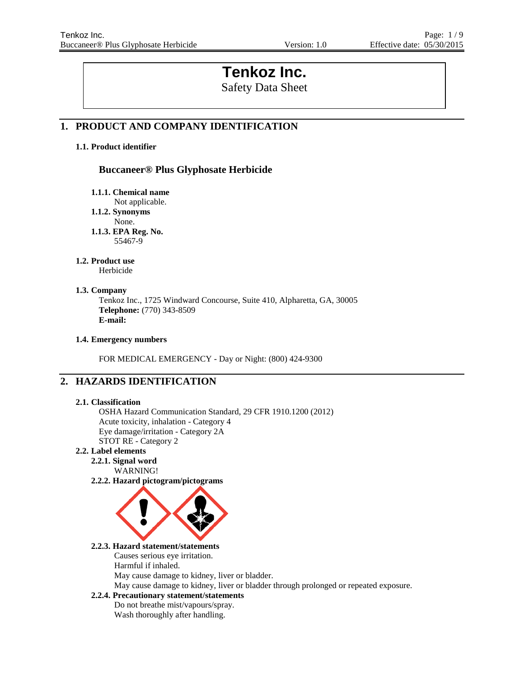# **Tenkoz Inc.**

Safety Data Sheet

## **1. PRODUCT AND COMPANY IDENTIFICATION**

## **1.1. Product identifier**

## **Buccaneer® Plus Glyphosate Herbicide**

**1.1.1. Chemical name**

Not applicable.

**1.1.2. Synonyms**

None.

**1.1.3. EPA Reg. No.** 55467-9

#### **1.2. Product use**

Herbicide

## **1.3. Company**

Tenkoz Inc., 1725 Windward Concourse, Suite 410, Alpharetta, GA, 30005 **Telephone:** (770) 343-8509 **E-mail:**

## **1.4. Emergency numbers**

FOR MEDICAL EMERGENCY - Day or Night: (800) 424-9300

## **2. HAZARDS IDENTIFICATION**

## **2.1. Classification**

OSHA Hazard Communication Standard, 29 CFR 1910.1200 (2012) Acute toxicity, inhalation - Category 4 Eye damage/irritation - Category 2A STOT RE - Category 2

## **2.2. Label elements**

- **2.2.1. Signal word** WARNING!
- **2.2.2. Hazard pictogram/pictograms**



## **2.2.3. Hazard statement/statements**

Causes serious eye irritation.

Harmful if inhaled.

May cause damage to kidney, liver or bladder.

May cause damage to kidney, liver or bladder through prolonged or repeated exposure.

## **2.2.4. Precautionary statement/statements**

Do not breathe mist/vapours/spray. Wash thoroughly after handling.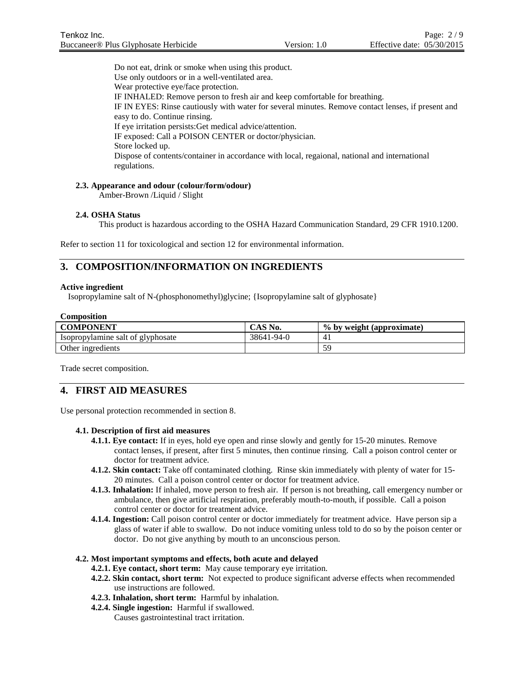Do not eat, drink or smoke when using this product. Use only outdoors or in a well-ventilated area. Wear protective eye/face protection. IF INHALED: Remove person to fresh air and keep comfortable for breathing. IF IN EYES: Rinse cautiously with water for several minutes. Remove contact lenses, if present and easy to do. Continue rinsing. If eye irritation persists:Get medical advice/attention. IF exposed: Call a POISON CENTER or doctor/physician. Store locked up. Dispose of contents/container in accordance with local, regaional, national and international regulations.

#### **2.3. Appearance and odour (colour/form/odour)**

Amber-Brown /Liquid / Slight

#### **2.4. OSHA Status**

This product is hazardous according to the OSHA Hazard Communication Standard, 29 CFR 1910.1200.

Refer to section 11 for toxicological and section 12 for environmental information.

## **3. COMPOSITION/INFORMATION ON INGREDIENTS**

#### **Active ingredient**

Isopropylamine salt of N-(phosphonomethyl)glycine; {Isopropylamine salt of glyphosate}

| Composition                       |            |                           |  |
|-----------------------------------|------------|---------------------------|--|
| <b>COMPONENT</b>                  | CAS No.    | % by weight (approximate) |  |
| Isopropylamine salt of glyphosate | 38641-94-0 |                           |  |
| Other ingredients                 |            | 59                        |  |

Trade secret composition.

## **4. FIRST AID MEASURES**

Use personal protection recommended in section 8.

#### **4.1. Description of first aid measures**

- **4.1.1. Eye contact:** If in eyes, hold eye open and rinse slowly and gently for 15-20 minutes. Remove contact lenses, if present, after first 5 minutes, then continue rinsing. Call a poison control center or doctor for treatment advice.
- **4.1.2. Skin contact:** Take off contaminated clothing. Rinse skin immediately with plenty of water for 15- 20 minutes. Call a poison control center or doctor for treatment advice.
- **4.1.3. Inhalation:** If inhaled, move person to fresh air. If person is not breathing, call emergency number or ambulance, then give artificial respiration, preferably mouth-to-mouth, if possible. Call a poison control center or doctor for treatment advice.
- **4.1.4. Ingestion:** Call poison control center or doctor immediately for treatment advice. Have person sip a glass of water if able to swallow. Do not induce vomiting unless told to do so by the poison center or doctor. Do not give anything by mouth to an unconscious person.

#### **4.2. Most important symptoms and effects, both acute and delayed**

- **4.2.1. Eye contact, short term:** May cause temporary eye irritation.
- **4.2.2. Skin contact, short term:** Not expected to produce significant adverse effects when recommended use instructions are followed.
- **4.2.3. Inhalation, short term:** Harmful by inhalation.
- **4.2.4. Single ingestion:** Harmful if swallowed. Causes gastrointestinal tract irritation.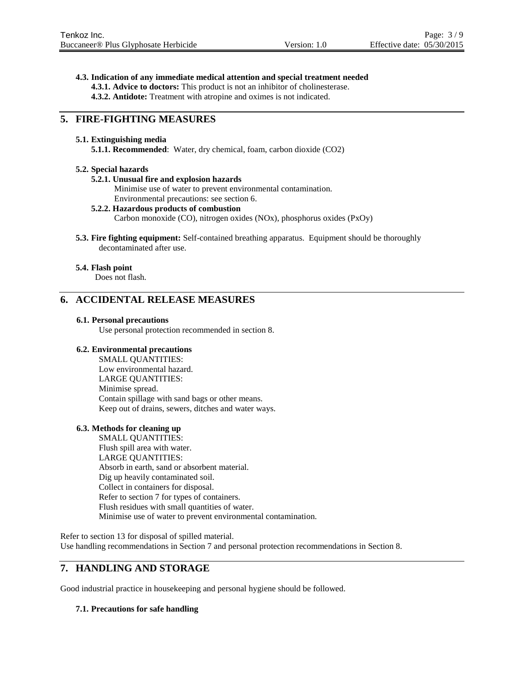#### **4.3. Indication of any immediate medical attention and special treatment needed**

- **4.3.1. Advice to doctors:** This product is not an inhibitor of cholinesterase.
- **4.3.2. Antidote:** Treatment with atropine and oximes is not indicated.

## **5. FIRE-FIGHTING MEASURES**

#### **5.1. Extinguishing media**

**5.1.1. Recommended**: Water, dry chemical, foam, carbon dioxide (CO2)

#### **5.2. Special hazards**

#### **5.2.1. Unusual fire and explosion hazards**

Minimise use of water to prevent environmental contamination. Environmental precautions: see section 6.

## **5.2.2. Hazardous products of combustion**

Carbon monoxide (CO), nitrogen oxides (NOx), phosphorus oxides (PxOy)

**5.3. Fire fighting equipment:** Self-contained breathing apparatus. Equipment should be thoroughly decontaminated after use.

#### **5.4. Flash point**

Does not flash.

## **6. ACCIDENTAL RELEASE MEASURES**

#### **6.1. Personal precautions**

Use personal protection recommended in section 8.

#### **6.2. Environmental precautions**

SMALL QUANTITIES: Low environmental hazard. LARGE QUANTITIES: Minimise spread. Contain spillage with sand bags or other means. Keep out of drains, sewers, ditches and water ways.

#### **6.3. Methods for cleaning up**

SMALL QUANTITIES: Flush spill area with water. LARGE QUANTITIES: Absorb in earth, sand or absorbent material. Dig up heavily contaminated soil. Collect in containers for disposal. Refer to section 7 for types of containers. Flush residues with small quantities of water. Minimise use of water to prevent environmental contamination.

Refer to section 13 for disposal of spilled material. Use handling recommendations in Section 7 and personal protection recommendations in Section 8.

## **7. HANDLING AND STORAGE**

Good industrial practice in housekeeping and personal hygiene should be followed.

## **7.1. Precautions for safe handling**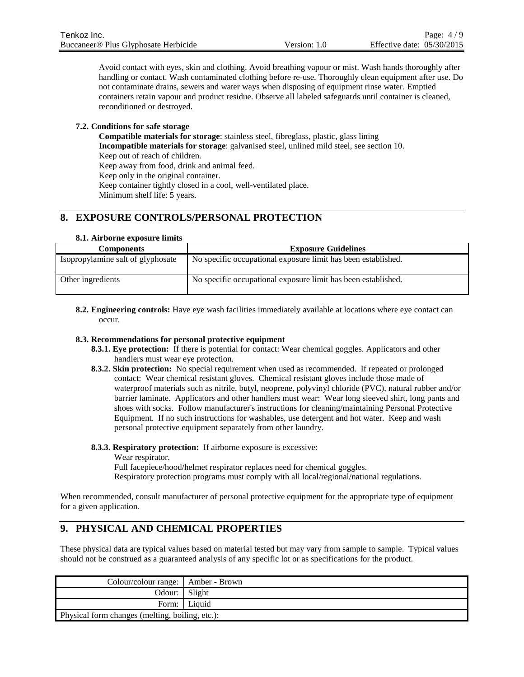Avoid contact with eyes, skin and clothing. Avoid breathing vapour or mist. Wash hands thoroughly after handling or contact. Wash contaminated clothing before re-use. Thoroughly clean equipment after use. Do not contaminate drains, sewers and water ways when disposing of equipment rinse water. Emptied containers retain vapour and product residue. Observe all labeled safeguards until container is cleaned, reconditioned or destroyed.

## **7.2. Conditions for safe storage**

**Compatible materials for storage**: stainless steel, fibreglass, plastic, glass lining **Incompatible materials for storage**: galvanised steel, unlined mild steel, see section 10. Keep out of reach of children. Keep away from food, drink and animal feed. Keep only in the original container. Keep container tightly closed in a cool, well-ventilated place. Minimum shelf life: 5 years.

## **8. EXPOSURE CONTROLS/PERSONAL PROTECTION**

#### **8.1. Airborne exposure limits**

| <b>Components</b>                 | <b>Exposure Guidelines</b>                                    |
|-----------------------------------|---------------------------------------------------------------|
| Isopropylamine salt of glyphosate | No specific occupational exposure limit has been established. |
| Other ingredients                 | No specific occupational exposure limit has been established. |

**8.2. Engineering controls:** Have eye wash facilities immediately available at locations where eye contact can occur.

## **8.3. Recommendations for personal protective equipment**

- **8.3.1. Eye protection:** If there is potential for contact: Wear chemical goggles. Applicators and other handlers must wear eye protection.
- **8.3.2. Skin protection:** No special requirement when used as recommended. If repeated or prolonged contact: Wear chemical resistant gloves. Chemical resistant gloves include those made of waterproof materials such as nitrile, butyl, neoprene, polyvinyl chloride (PVC), natural rubber and/or barrier laminate. Applicators and other handlers must wear: Wear long sleeved shirt, long pants and shoes with socks. Follow manufacturer's instructions for cleaning/maintaining Personal Protective Equipment. If no such instructions for washables, use detergent and hot water. Keep and wash personal protective equipment separately from other laundry.

#### **8.3.3. Respiratory protection:** If airborne exposure is excessive:

Wear respirator.

Full facepiece/hood/helmet respirator replaces need for chemical goggles. Respiratory protection programs must comply with all local/regional/national regulations.

When recommended, consult manufacturer of personal protective equipment for the appropriate type of equipment for a given application.

## **9. PHYSICAL AND CHEMICAL PROPERTIES**

These physical data are typical values based on material tested but may vary from sample to sample. Typical values should not be construed as a guaranteed analysis of any specific lot or as specifications for the product.

| Colour/colour range:   Amber - Brown            |                |
|-------------------------------------------------|----------------|
| Odour:   Slight                                 |                |
|                                                 | Form:   Liquid |
| Physical form changes (melting, boiling, etc.): |                |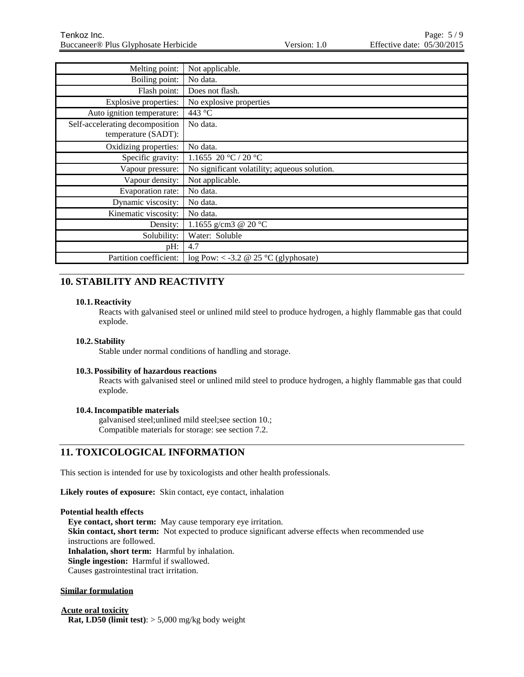| Melting point:                  | Not applicable.                              |
|---------------------------------|----------------------------------------------|
| Boiling point:                  | No data.                                     |
| Flash point:                    | Does not flash.                              |
| Explosive properties:           | No explosive properties                      |
| Auto ignition temperature:      | 443 °C                                       |
| Self-accelerating decomposition | No data.                                     |
| temperature (SADT):             |                                              |
| Oxidizing properties:           | No data.                                     |
| Specific gravity:               | 1.1655 20 °C / 20 °C                         |
| Vapour pressure:                | No significant volatility; aqueous solution. |
| Vapour density:                 | Not applicable.                              |
| Evaporation rate:               | No data.                                     |
| Dynamic viscosity:              | No data.                                     |
| Kinematic viscosity:            | No data.                                     |
| Density:                        | 1.1655 g/cm3 @ 20 °C                         |
| Solubility:                     | Water: Soluble                               |
| pH:                             | 4.7                                          |
| Partition coefficient:          | $log Pow: < -3.2 \ @ 25 °C (glyphosate)$     |

## **10. STABILITY AND REACTIVITY**

## **10.1. Reactivity**

Reacts with galvanised steel or unlined mild steel to produce hydrogen, a highly flammable gas that could explode.

## **10.2. Stability**

Stable under normal conditions of handling and storage.

## **10.3.Possibility of hazardous reactions**

Reacts with galvanised steel or unlined mild steel to produce hydrogen, a highly flammable gas that could explode.

## **10.4.Incompatible materials**

galvanised steel;unlined mild steel;see section 10.; Compatible materials for storage: see section 7.2.

## **11. TOXICOLOGICAL INFORMATION**

This section is intended for use by toxicologists and other health professionals.

**Likely routes of exposure:** Skin contact, eye contact, inhalation

#### **Potential health effects**

**Eye contact, short term:** May cause temporary eye irritation. Skin contact, short term: Not expected to produce significant adverse effects when recommended use instructions are followed. **Inhalation, short term:** Harmful by inhalation. **Single ingestion:** Harmful if swallowed. Causes gastrointestinal tract irritation.

## **Similar formulation**

**Acute oral toxicity Rat, LD50 (limit test)**: > 5,000 mg/kg body weight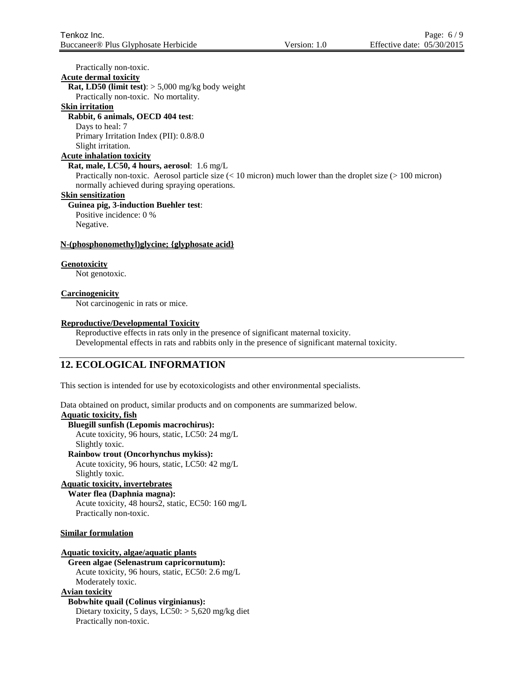Practically non-toxic.

**Acute dermal toxicity**

**Rat, LD50 (limit test)**: > 5,000 mg/kg body weight

Practically non-toxic. No mortality.

## **Skin irritation**

## **Rabbit, 6 animals, OECD 404 test**:

Days to heal: 7

Primary Irritation Index (PII): 0.8/8.0 Slight irritation.

## **Acute inhalation toxicity**

**Rat, male, LC50, 4 hours, aerosol**: 1.6 mg/L

Practically non-toxic. Aerosol particle size  $(< 10$  micron) much lower than the droplet size  $(> 100$  micron) normally achieved during spraying operations.

#### **Skin sensitization**

## **Guinea pig, 3-induction Buehler test**:

Positive incidence: 0 % Negative.

## **N-(phosphonomethyl)glycine; {glyphosate acid}**

## **Genotoxicity**

Not genotoxic.

## **Carcinogenicity**

Not carcinogenic in rats or mice.

## **Reproductive/Developmental Toxicity**

Reproductive effects in rats only in the presence of significant maternal toxicity. Developmental effects in rats and rabbits only in the presence of significant maternal toxicity.

## **12. ECOLOGICAL INFORMATION**

This section is intended for use by ecotoxicologists and other environmental specialists.

Data obtained on product, similar products and on components are summarized below.

#### **Aquatic toxicity, fish**

## **Bluegill sunfish (Lepomis macrochirus):**

Acute toxicity, 96 hours, static, LC50: 24 mg/L Slightly toxic.

**Rainbow trout (Oncorhynchus mykiss):** Acute toxicity, 96 hours, static, LC50: 42 mg/L

#### Slightly toxic. **Aquatic toxicity, invertebrates**

## **Water flea (Daphnia magna):** Acute toxicity, 48 hours2, static, EC50: 160 mg/L

Practically non-toxic.

## **Similar formulation**

## **Aquatic toxicity, algae/aquatic plants**

**Green algae (Selenastrum capricornutum):** Acute toxicity, 96 hours, static, EC50: 2.6 mg/L Moderately toxic.

## **Avian toxicity**

## **Bobwhite quail (Colinus virginianus):**

Dietary toxicity, 5 days, LC50: > 5,620 mg/kg diet Practically non-toxic.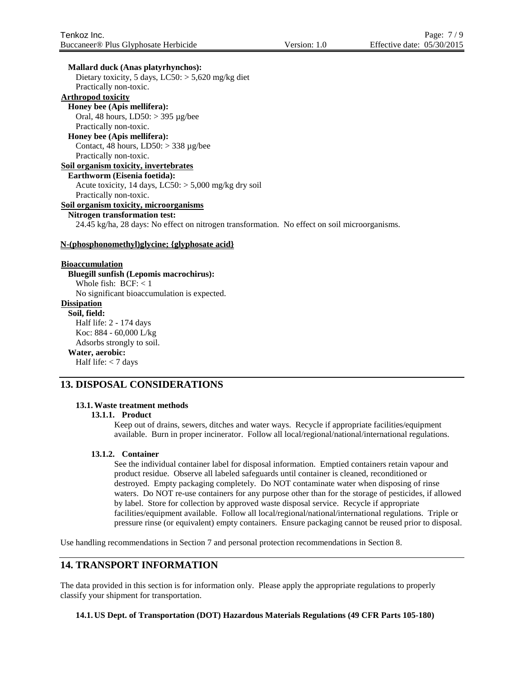#### **Mallard duck (Anas platyrhynchos):**

Dietary toxicity, 5 days,  $LC50$ :  $> 5,620$  mg/kg diet Practically non-toxic.

## **Arthropod toxicity**

**Honey bee (Apis mellifera):** Oral, 48 hours, LD50: > 395 µg/bee Practically non-toxic.

#### **Honey bee (Apis mellifera):**

Contact, 48 hours,  $LD50$ :  $>$  338 µg/bee Practically non-toxic.

#### **Soil organism toxicity, invertebrates**

#### **Earthworm (Eisenia foetida):**

Acute toxicity, 14 days,  $LC50$ :  $> 5,000$  mg/kg dry soil Practically non-toxic.

## **Soil organism toxicity, microorganisms**

## **Nitrogen transformation test:**

24.45 kg/ha, 28 days: No effect on nitrogen transformation. No effect on soil microorganisms.

#### **N-(phosphonomethyl)glycine; {glyphosate acid}**

#### **Bioaccumulation**

**Bluegill sunfish (Lepomis macrochirus):** Whole fish:  $BCF: < 1$ No significant bioaccumulation is expected. **Dissipation Soil, field:** Half life: 2 - 174 days Koc: 884 - 60,000 L/kg Adsorbs strongly to soil. **Water, aerobic:** Half life: < 7 days

## **13. DISPOSAL CONSIDERATIONS**

## **13.1.Waste treatment methods**

#### **13.1.1. Product**

Keep out of drains, sewers, ditches and water ways. Recycle if appropriate facilities/equipment available. Burn in proper incinerator. Follow all local/regional/national/international regulations.

#### **13.1.2. Container**

See the individual container label for disposal information. Emptied containers retain vapour and product residue. Observe all labeled safeguards until container is cleaned, reconditioned or destroyed. Empty packaging completely. Do NOT contaminate water when disposing of rinse waters. Do NOT re-use containers for any purpose other than for the storage of pesticides, if allowed by label. Store for collection by approved waste disposal service. Recycle if appropriate facilities/equipment available. Follow all local/regional/national/international regulations. Triple or pressure rinse (or equivalent) empty containers. Ensure packaging cannot be reused prior to disposal.

Use handling recommendations in Section 7 and personal protection recommendations in Section 8.

## **14. TRANSPORT INFORMATION**

The data provided in this section is for information only. Please apply the appropriate regulations to properly classify your shipment for transportation.

#### **14.1. US Dept. of Transportation (DOT) Hazardous Materials Regulations (49 CFR Parts 105-180)**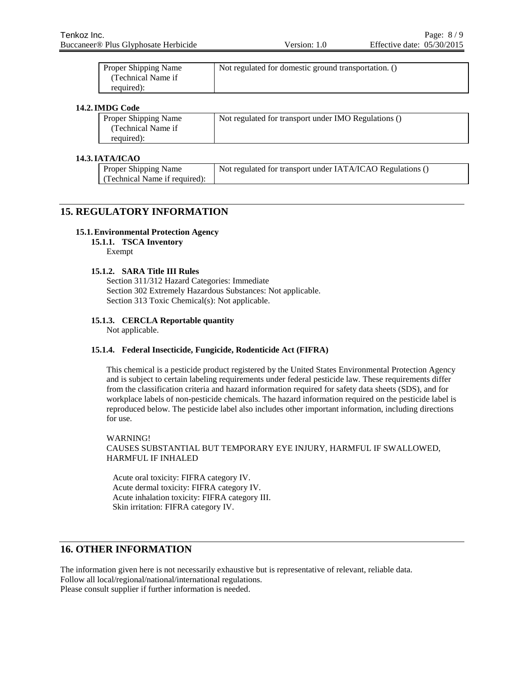| <b>Proper Shipping Name</b> | Not regulated for domestic ground transportation. () |
|-----------------------------|------------------------------------------------------|
| (Technical Name if          |                                                      |
| required):                  |                                                      |

#### **14.2.IMDG Code**

| Proper Shipping Name | Not regulated for transport under IMO Regulations () |
|----------------------|------------------------------------------------------|
| Technical Name if    |                                                      |
| required):           |                                                      |

#### **14.3.IATA/ICAO**

| <b>Proper Shipping Name</b>   | Not regulated for transport under IATA/ICAO Regulations () |
|-------------------------------|------------------------------------------------------------|
| (Technical Name if required): |                                                            |

## **15. REGULATORY INFORMATION**

#### **15.1.Environmental Protection Agency**

**15.1.1. TSCA Inventory**

Exempt

#### **15.1.2. SARA Title III Rules**

Section 311/312 Hazard Categories: Immediate Section 302 Extremely Hazardous Substances: Not applicable. Section 313 Toxic Chemical(s): Not applicable.

## **15.1.3. CERCLA Reportable quantity**

Not applicable.

## **15.1.4. Federal Insecticide, Fungicide, Rodenticide Act (FIFRA)**

This chemical is a pesticide product registered by the United States Environmental Protection Agency and is subject to certain labeling requirements under federal pesticide law. These requirements differ from the classification criteria and hazard information required for safety data sheets (SDS), and for workplace labels of non-pesticide chemicals. The hazard information required on the pesticide label is reproduced below. The pesticide label also includes other important information, including directions for use.

WARNING! CAUSES SUBSTANTIAL BUT TEMPORARY EYE INJURY, HARMFUL IF SWALLOWED, HARMFUL IF INHALED

Acute oral toxicity: FIFRA category IV. Acute dermal toxicity: FIFRA category IV. Acute inhalation toxicity: FIFRA category III. Skin irritation: FIFRA category IV.

## **16. OTHER INFORMATION**

The information given here is not necessarily exhaustive but is representative of relevant, reliable data. Follow all local/regional/national/international regulations. Please consult supplier if further information is needed.